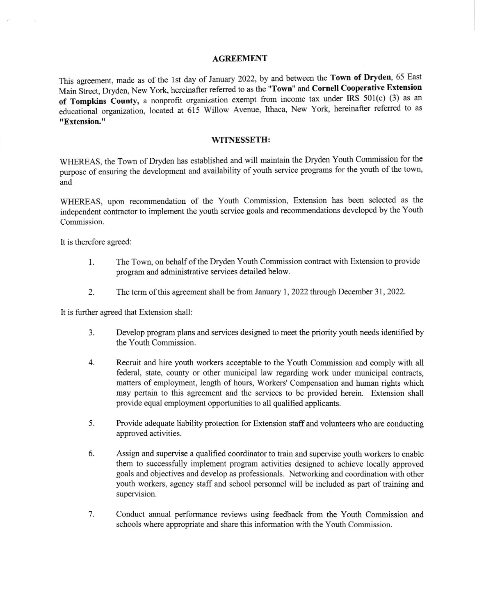## AGREEMENT

This agreement, made as of the lst day of January 2022, by and between the Town of Dryden, 65 East Main Street, Dryden, New York, hereinafter referred to as the "Town" and Cornell Cooperative Extension of Tompkins County, a nonprofit organization exempt from income tax under IRS 501(c) (3) as an educational organization, located at 615 Willow Avenue, Ithaca, New York, hereinafter referred to as "Extension."

## WITNESSETH:

WHEREAS, the Town of Dryden has established and will maintain the Dryden Youth Commission for the purpose of ensuring the development and availability of youth service programs for the youth of the town, and

WHEREAS, upon recommendation of the Youth Commission, Extension has been selected as the independent contractor to implement the youth service goals and recommendations developed by the Youth Commission.

It is therefore agreed:

- <sup>i</sup>. The Towr, on behalf of the Dryden Youth Commission contract with Extension to provide program and administrative services detailed below.
- 2. The term of this agreement shall be from January 1, 2022 through December 31, 2022.

It is further agreed that Extension shall:

- Develop program plans and services designed to meet the priority youth needs identihed by the Youth Commission. 3
- Recruit and hire youth workers acceptable to the Youth Commission and comply with all federal, state, county or other municipal law regarding work under municipal contracts, matters of employment, length of hours, Worken' Compensation and human rights which may pertain to this agreement and the services to be provided herein. Extension shall provide equal employment opportunities to all qualifred applicants. 4
- Provide adequate liability protection for Extension staff and volunteers who are conducting approved activities. 5
- Assign and supervise a qualified coordinator to train and supervise youth workers to enable them to successfully implement program activities designed to achieve locally approved goals and objectives and develop as professionals. Networking and coordination with other youth workers, agency staff and school personnel will be included as part of training and supervision. 6
- Conduct annual performance reviews using feedback from the Youth Commission and schools where appropriate and share this information with the Youth Commission. 7